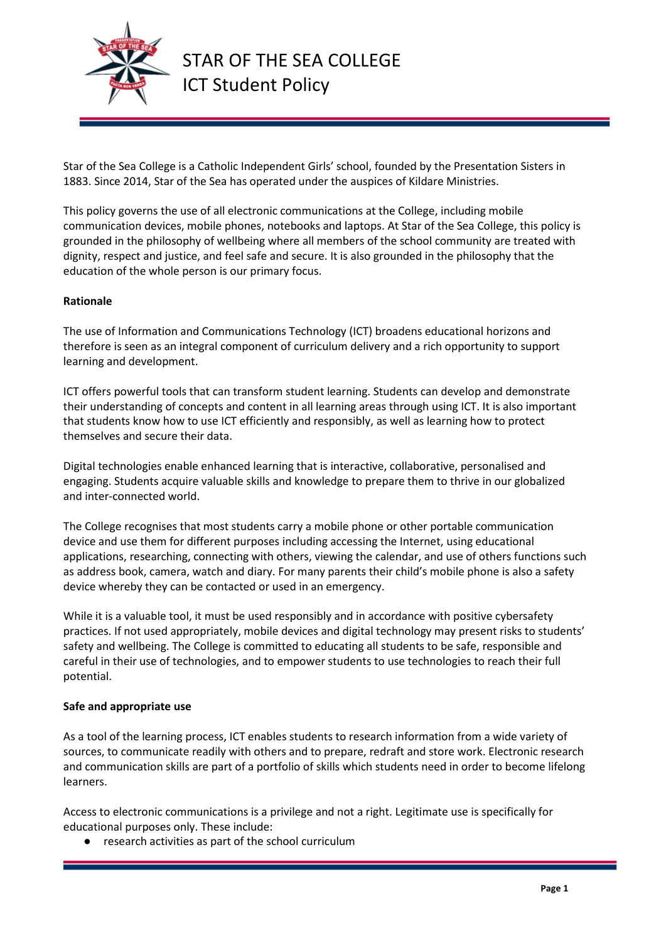

Star of the Sea College is a Catholic Independent Girls' school, founded by the Presentation Sisters in 1883. Since 2014, Star of the Sea has operated under the auspices of Kildare Ministries.

This policy governs the use of all electronic communications at the College, including mobile communication devices, mobile phones, notebooks and laptops. At Star of the Sea College, this policy is grounded in the philosophy of wellbeing where all members of the school community are treated with dignity, respect and justice, and feel safe and secure. It is also grounded in the philosophy that the education of the whole person is our primary focus.

### **Rationale**

The use of Information and Communications Technology (ICT) broadens educational horizons and therefore is seen as an integral component of curriculum delivery and a rich opportunity to support learning and development.

ICT offers powerful tools that can transform student learning. Students can develop and demonstrate their understanding of concepts and content in all learning areas through using ICT. It is also important that students know how to use ICT efficiently and responsibly, as well as learning how to protect themselves and secure their data.

Digital technologies enable enhanced learning that is interactive, collaborative, personalised and engaging. Students acquire valuable skills and knowledge to prepare them to thrive in our globalized and inter-connected world.

The College recognises that most students carry a mobile phone or other portable communication device and use them for different purposes including accessing the Internet, using educational applications, researching, connecting with others, viewing the calendar, and use of others functions such as address book, camera, watch and diary. For many parents their child's mobile phone is also a safety device whereby they can be contacted or used in an emergency.

While it is a valuable tool, it must be used responsibly and in accordance with positive cybersafety practices. If not used appropriately, mobile devices and digital technology may present risks to students' safety and wellbeing. The College is committed to educating all students to be safe, responsible and careful in their use of technologies, and to empower students to use technologies to reach their full potential.

### **Safe and appropriate use**

As a tool of the learning process, ICT enables students to research information from a wide variety of sources, to communicate readily with others and to prepare, redraft and store work. Electronic research and communication skills are part of a portfolio of skills which students need in order to become lifelong learners.

Access to electronic communications is a privilege and not a right. Legitimate use is specifically for educational purposes only. These include:

● research activities as part of the school curriculum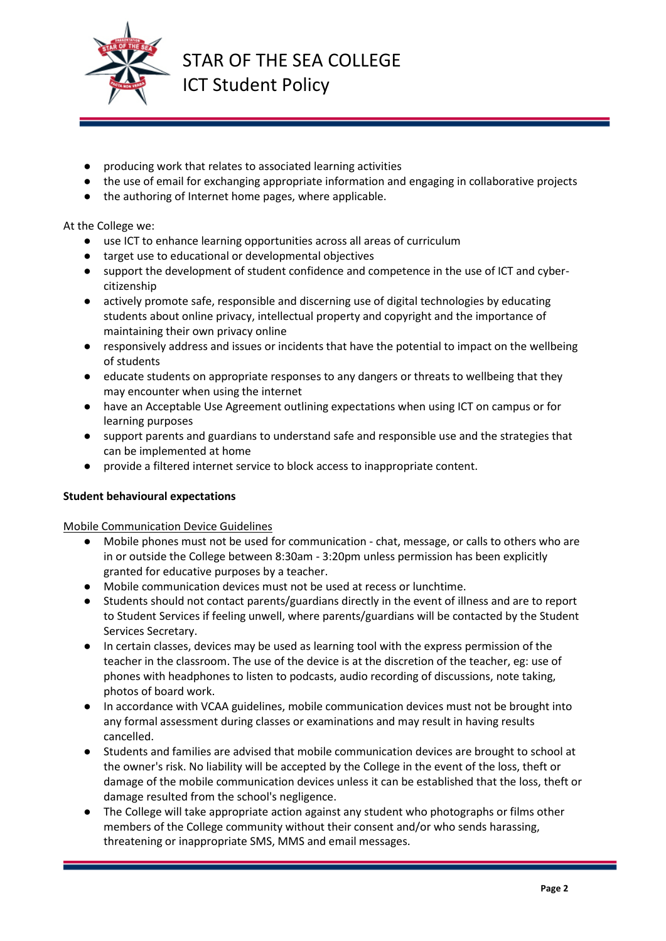

- producing work that relates to associated learning activities
- the use of email for exchanging appropriate information and engaging in collaborative projects
- the authoring of Internet home pages, where applicable.

At the College we:

- use ICT to enhance learning opportunities across all areas of curriculum
- target use to educational or developmental objectives
- support the development of student confidence and competence in the use of ICT and cybercitizenship
- actively promote safe, responsible and discerning use of digital technologies by educating students about online privacy, intellectual property and copyright and the importance of maintaining their own privacy online
- responsively address and issues or incidents that have the potential to impact on the wellbeing of students
- educate students on appropriate responses to any dangers or threats to wellbeing that they may encounter when using the internet
- have an Acceptable Use Agreement outlining expectations when using ICT on campus or for learning purposes
- support parents and guardians to understand safe and responsible use and the strategies that can be implemented at home
- provide a filtered internet service to block access to inappropriate content.

### **Student behavioural expectations**

Mobile Communication Device Guidelines

- Mobile phones must not be used for communication chat, message, or calls to others who are in or outside the College between 8:30am - 3:20pm unless permission has been explicitly granted for educative purposes by a teacher.
- Mobile communication devices must not be used at recess or lunchtime.
- Students should not contact parents/guardians directly in the event of illness and are to report to Student Services if feeling unwell, where parents/guardians will be contacted by the Student Services Secretary.
- In certain classes, devices may be used as learning tool with the express permission of the teacher in the classroom. The use of the device is at the discretion of the teacher, eg: use of phones with headphones to listen to podcasts, audio recording of discussions, note taking, photos of board work.
- In accordance with VCAA guidelines, mobile communication devices must not be brought into any formal assessment during classes or examinations and may result in having results cancelled.
- Students and families are advised that mobile communication devices are brought to school at the owner's risk. No liability will be accepted by the College in the event of the loss, theft or damage of the mobile communication devices unless it can be established that the loss, theft or damage resulted from the school's negligence.
- The College will take appropriate action against any student who photographs or films other members of the College community without their consent and/or who sends harassing, threatening or inappropriate SMS, MMS and email messages.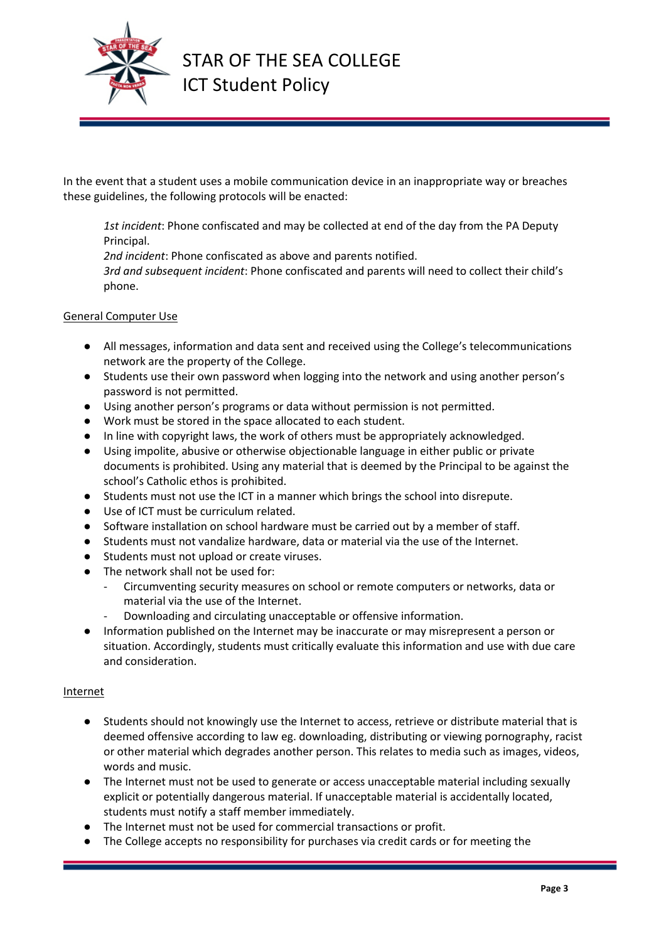

In the event that a student uses a mobile communication device in an inappropriate way or breaches these guidelines, the following protocols will be enacted:

*1st incident*: Phone confiscated and may be collected at end of the day from the PA Deputy Principal.

*2nd incident*: Phone confiscated as above and parents notified.

*3rd and subsequent incident*: Phone confiscated and parents will need to collect their child's phone.

# General Computer Use

- All messages, information and data sent and received using the College's telecommunications network are the property of the College.
- Students use their own password when logging into the network and using another person's password is not permitted.
- Using another person's programs or data without permission is not permitted.
- Work must be stored in the space allocated to each student.
- In line with copyright laws, the work of others must be appropriately acknowledged.
- Using impolite, abusive or otherwise objectionable language in either public or private documents is prohibited. Using any material that is deemed by the Principal to be against the school's Catholic ethos is prohibited.
- Students must not use the ICT in a manner which brings the school into disrepute.
- Use of ICT must be curriculum related.
- Software installation on school hardware must be carried out by a member of staff.
- Students must not vandalize hardware, data or material via the use of the Internet.
- Students must not upload or create viruses.
- The network shall not be used for:
	- Circumventing security measures on school or remote computers or networks, data or material via the use of the Internet.
		- Downloading and circulating unacceptable or offensive information.
- Information published on the Internet may be inaccurate or may misrepresent a person or situation. Accordingly, students must critically evaluate this information and use with due care and consideration.

### Internet

- Students should not knowingly use the Internet to access, retrieve or distribute material that is deemed offensive according to law eg. downloading, distributing or viewing pornography, racist or other material which degrades another person. This relates to media such as images, videos, words and music.
- The Internet must not be used to generate or access unacceptable material including sexually explicit or potentially dangerous material. If unacceptable material is accidentally located, students must notify a staff member immediately.
- The Internet must not be used for commercial transactions or profit.
- The College accepts no responsibility for purchases via credit cards or for meeting the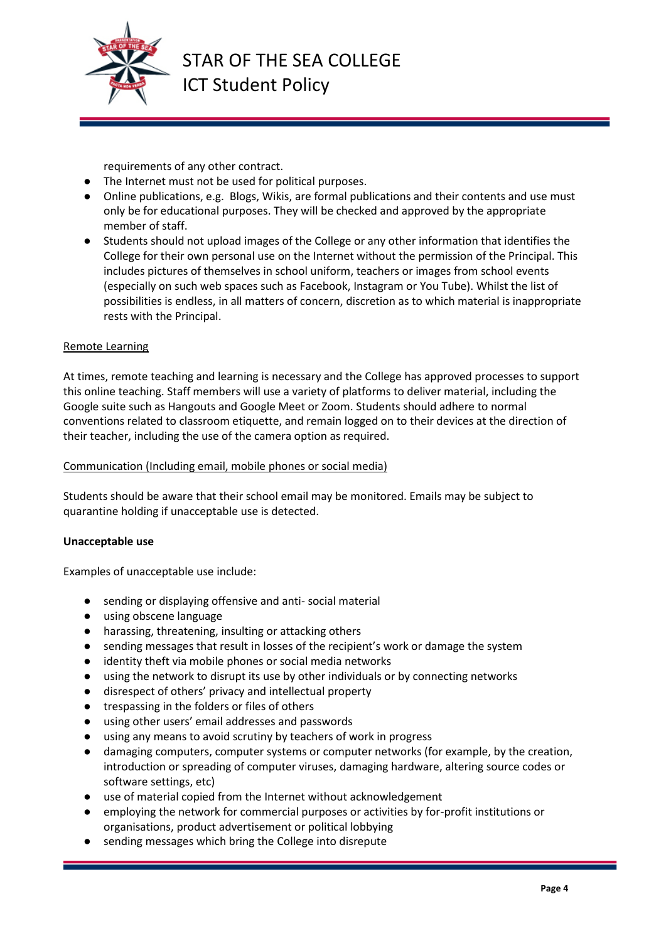

requirements of any other contract.

- The Internet must not be used for political purposes.
- Online publications, e.g. Blogs, Wikis, are formal publications and their contents and use must only be for educational purposes. They will be checked and approved by the appropriate member of staff.
- Students should not upload images of the College or any other information that identifies the College for their own personal use on the Internet without the permission of the Principal. This includes pictures of themselves in school uniform, teachers or images from school events (especially on such web spaces such as Facebook, Instagram or You Tube). Whilst the list of possibilities is endless, in all matters of concern, discretion as to which material is inappropriate rests with the Principal.

### Remote Learning

At times, remote teaching and learning is necessary and the College has approved processes to support this online teaching. Staff members will use a variety of platforms to deliver material, including the Google suite such as Hangouts and Google Meet or Zoom. Students should adhere to normal conventions related to classroom etiquette, and remain logged on to their devices at the direction of their teacher, including the use of the camera option as required.

### Communication (Including email, mobile phones or social media)

Students should be aware that their school email may be monitored. Emails may be subject to quarantine holding if unacceptable use is detected.

### **Unacceptable use**

Examples of unacceptable use include:

- sending or displaying offensive and anti-social material
- using obscene language
- harassing, threatening, insulting or attacking others
- sending messages that result in losses of the recipient's work or damage the system
- identity theft via mobile phones or social media networks
- using the network to disrupt its use by other individuals or by connecting networks
- disrespect of others' privacy and intellectual property
- trespassing in the folders or files of others
- using other users' email addresses and passwords
- using any means to avoid scrutiny by teachers of work in progress
- damaging computers, computer systems or computer networks (for example, by the creation, introduction or spreading of computer viruses, damaging hardware, altering source codes or software settings, etc)
- use of material copied from the Internet without acknowledgement
- employing the network for commercial purposes or activities by for-profit institutions or organisations, product advertisement or political lobbying
- sending messages which bring the College into disrepute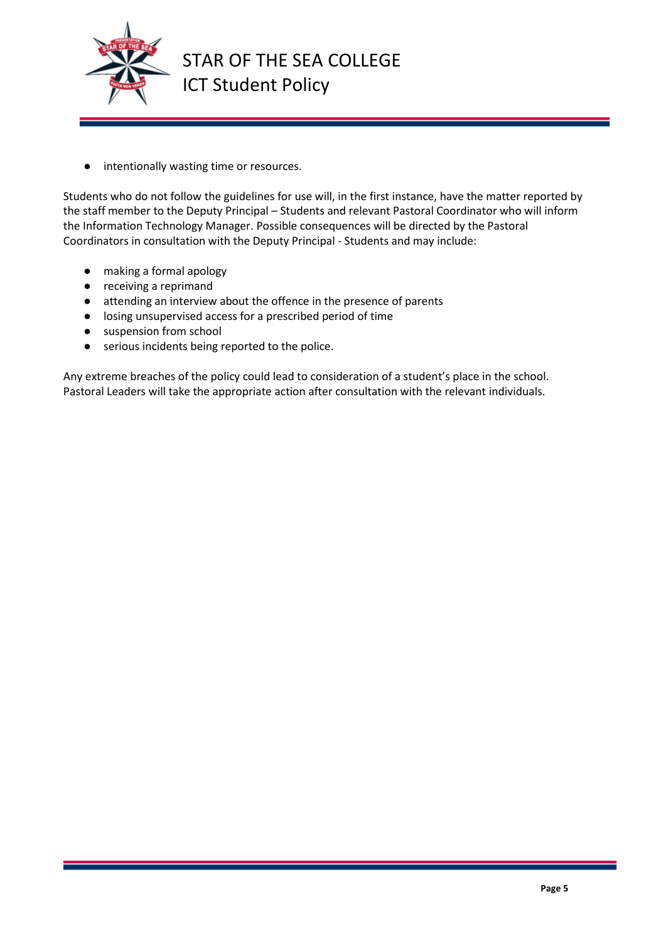

● intentionally wasting time or resources.

Students who do not follow the guidelines for use will, in the first instance, have the matter reported by the staff member to the Deputy Principal – Students and relevant Pastoral Coordinator who will inform the Information Technology Manager. Possible consequences will be directed by the Pastoral Coordinators in consultation with the Deputy Principal - Students and may include:

- making a formal apology
- receiving a reprimand
- attending an interview about the offence in the presence of parents
- losing unsupervised access for a prescribed period of time
- suspension from school
- serious incidents being reported to the police.

Any extreme breaches of the policy could lead to consideration of a student's place in the school. Pastoral Leaders will take the appropriate action after consultation with the relevant individuals.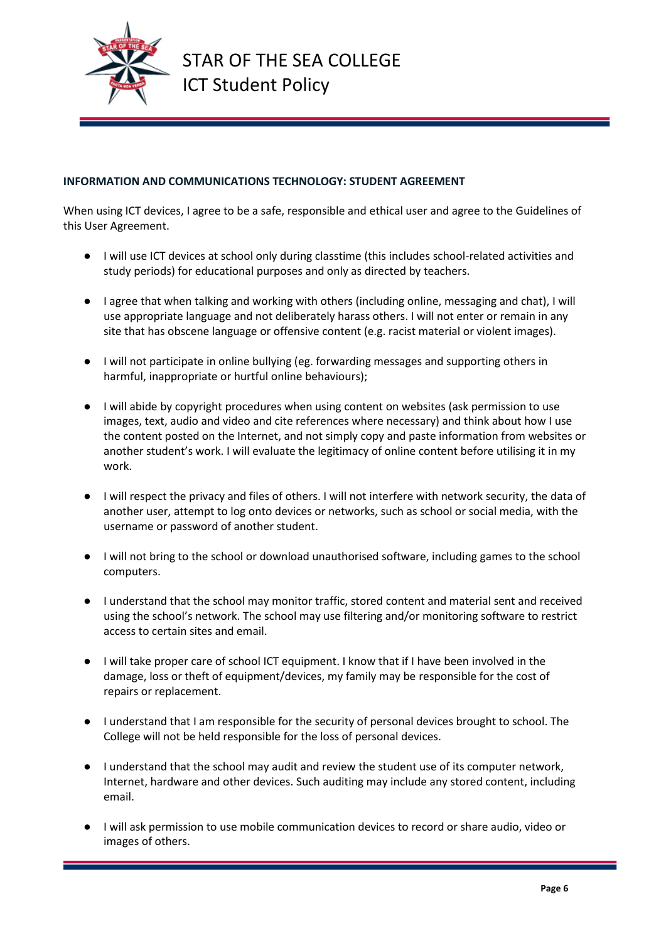

# **INFORMATION AND COMMUNICATIONS TECHNOLOGY: STUDENT AGREEMENT**

When using ICT devices, I agree to be a safe, responsible and ethical user and agree to the Guidelines of this User Agreement.

- I will use ICT devices at school only during classtime (this includes school-related activities and study periods) for educational purposes and only as directed by teachers.
- I agree that when talking and working with others (including online, messaging and chat), I will use appropriate language and not deliberately harass others. I will not enter or remain in any site that has obscene language or offensive content (e.g. racist material or violent images).
- I will not participate in online bullying (eg. forwarding messages and supporting others in harmful, inappropriate or hurtful online behaviours);
- I will abide by copyright procedures when using content on websites (ask permission to use images, text, audio and video and cite references where necessary) and think about how I use the content posted on the Internet, and not simply copy and paste information from websites or another student's work. I will evaluate the legitimacy of online content before utilising it in my work.
- I will respect the privacy and files of others. I will not interfere with network security, the data of another user, attempt to log onto devices or networks, such as school or social media, with the username or password of another student.
- I will not bring to the school or download unauthorised software, including games to the school computers.
- I understand that the school may monitor traffic, stored content and material sent and received using the school's network. The school may use filtering and/or monitoring software to restrict access to certain sites and email.
- I will take proper care of school ICT equipment. I know that if I have been involved in the damage, loss or theft of equipment/devices, my family may be responsible for the cost of repairs or replacement.
- I understand that I am responsible for the security of personal devices brought to school. The College will not be held responsible for the loss of personal devices.
- I understand that the school may audit and review the student use of its computer network, Internet, hardware and other devices. Such auditing may include any stored content, including email.
- I will ask permission to use mobile communication devices to record or share audio, video or images of others.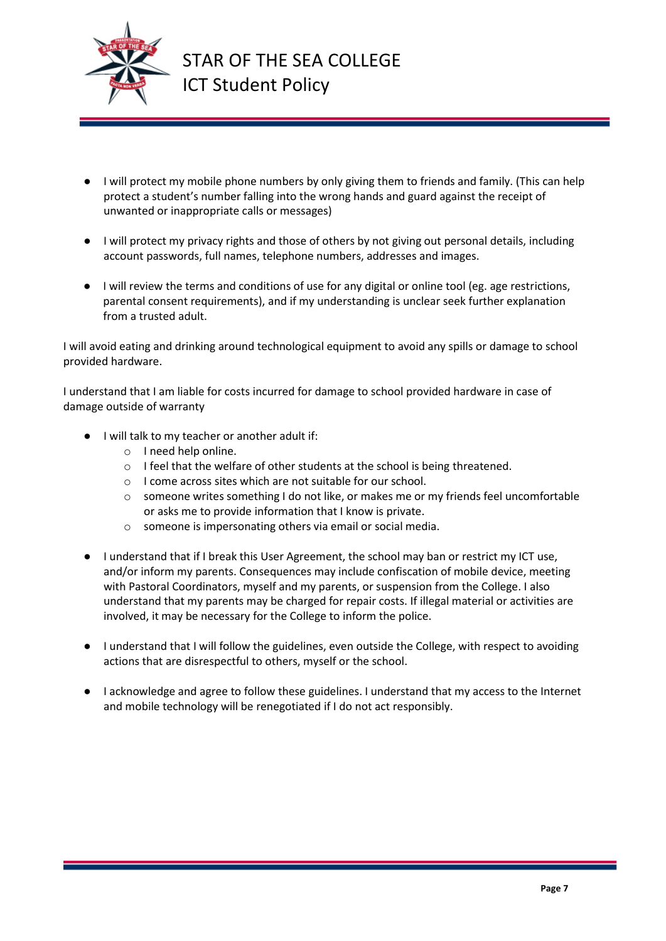

- I will protect my mobile phone numbers by only giving them to friends and family. (This can help protect a student's number falling into the wrong hands and guard against the receipt of unwanted or inappropriate calls or messages)
- I will protect my privacy rights and those of others by not giving out personal details, including account passwords, full names, telephone numbers, addresses and images.
- I will review the terms and conditions of use for any digital or online tool (eg. age restrictions, parental consent requirements), and if my understanding is unclear seek further explanation from a trusted adult.

I will avoid eating and drinking around technological equipment to avoid any spills or damage to school provided hardware.

I understand that I am liable for costs incurred for damage to school provided hardware in case of damage outside of warranty

- I will talk to my teacher or another adult if:
	- o I need help online.
	- $\circ$  I feel that the welfare of other students at the school is being threatened.
	- o I come across sites which are not suitable for our school.
	- $\circ$  someone writes something I do not like, or makes me or my friends feel uncomfortable or asks me to provide information that I know is private.
	- o someone is impersonating others via email or social media.
- I understand that if I break this User Agreement, the school may ban or restrict my ICT use, and/or inform my parents. Consequences may include confiscation of mobile device, meeting with Pastoral Coordinators, myself and my parents, or suspension from the College. I also understand that my parents may be charged for repair costs. If illegal material or activities are involved, it may be necessary for the College to inform the police.
- I understand that I will follow the guidelines, even outside the College, with respect to avoiding actions that are disrespectful to others, myself or the school.
- I acknowledge and agree to follow these guidelines. I understand that my access to the Internet and mobile technology will be renegotiated if I do not act responsibly.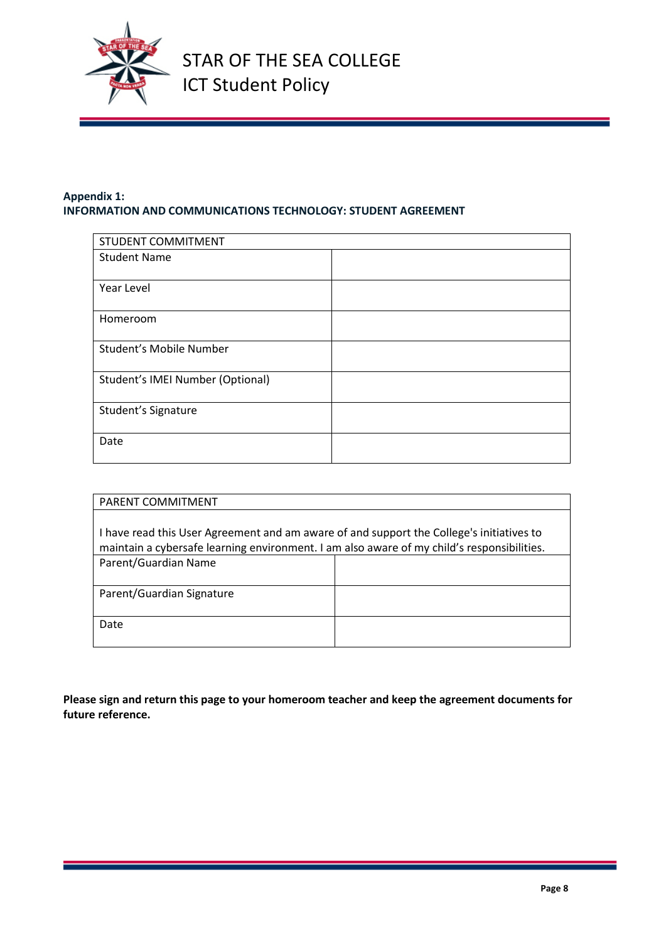

# **Appendix 1: INFORMATION AND COMMUNICATIONS TECHNOLOGY: STUDENT AGREEMENT**

| STUDENT COMMITMENT               |  |
|----------------------------------|--|
| <b>Student Name</b>              |  |
|                                  |  |
| Year Level                       |  |
|                                  |  |
| Homeroom                         |  |
|                                  |  |
| Student's Mobile Number          |  |
| Student's IMEI Number (Optional) |  |
|                                  |  |
| Student's Signature              |  |
| Date                             |  |
|                                  |  |

| <b>PARENT COMMITMENT</b>                                                                   |  |
|--------------------------------------------------------------------------------------------|--|
|                                                                                            |  |
| I have read this User Agreement and am aware of and support the College's initiatives to   |  |
| maintain a cybersafe learning environment. I am also aware of my child's responsibilities. |  |
| Parent/Guardian Name                                                                       |  |
|                                                                                            |  |
| Parent/Guardian Signature                                                                  |  |
|                                                                                            |  |
| Date                                                                                       |  |
|                                                                                            |  |

**Please sign and return this page to your homeroom teacher and keep the agreement documents for future reference.**